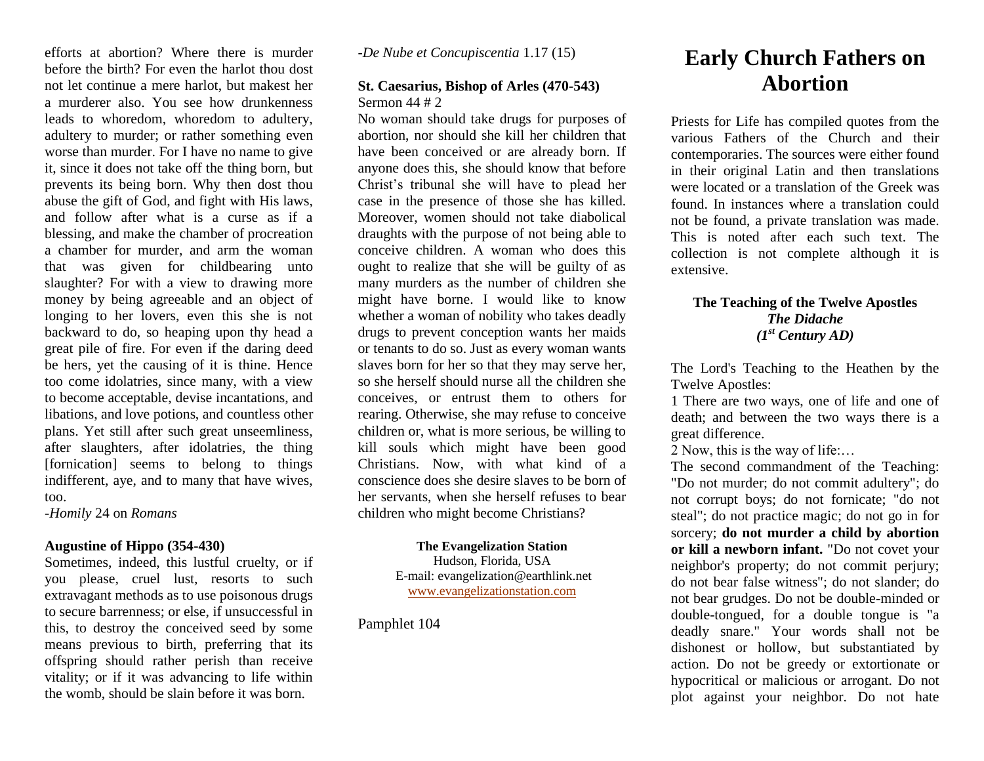efforts at abortion? Where there is murder before the birth? For even the harlot thou dost not let continue a mere harlot, but makest her a murderer also. You see how drunkenness leads to whoredom, whoredom to adultery, adultery to murder; or rather something even worse than murder. For I have no name to give it, since it does not take off the thing born, but prevents its being born. Why then dost thou abuse the gift of God, and fight with His laws, and follow after what is a curse as if a blessing, and make the chamber of procreation a chamber for murder, and arm the woman that was given for childbearing unto slaughter? For with a view to drawing more money by being agreeable and an object of longing to her lovers, even this she is not backward to do, so heaping upon thy head a great pile of fire. For even if the daring deed be hers, yet the causing of it is thine. Hence too come idolatries, since many, with a view to become acceptable, devise incantations, and libations, and love potions, and countless other plans. Yet still after such great unseemliness, after slaughters, after idolatries, the thing [fornication] seems to belong to things indifferent, aye, and to many that have wives, too.

*-Homily* 24 on *Romans*

#### **Augustine of Hippo (354-430)**

Sometimes, indeed, this lustful cruelty, or if you please, cruel lust, resorts to such extravagant methods as to use poisonous drugs to secure barrenness; or else, if unsuccessful in this, to destroy the conceived seed by some means previous to birth, preferring that its offspring should rather perish than receive vitality; or if it was advancing to life within the womb, should be slain before it was born.

*-De Nube et Concupiscentia* 1.17 (15)

## **St. Caesarius, Bishop of Arles (470-543)** Sermon 44 # 2

No woman should take drugs for purposes of abortion, nor should she kill her children that have been conceived or are already born. If anyone does this, she should know that before Christ's tribunal she will have to plead her case in the presence of those she has killed. Moreover, women should not take diabolical draughts with the purpose of not being able to conceive children. A woman who does this ought to realize that she will be guilty of as many murders as the number of children she might have borne. I would like to know whether a woman of nobility who takes deadly drugs to prevent conception wants her maids or tenants to do so. Just as every woman wants slaves born for her so that they may serve her, so she herself should nurse all the children she conceives, or entrust them to others for rearing. Otherwise, she may refuse to conceive children or, what is more serious, be willing to kill souls which might have been good Christians. Now, with what kind of a conscience does she desire slaves to be born of her servants, when she herself refuses to bear children who might become Christians?

#### **The Evangelization Station**

Hudson, Florida, USA E-mail: evangelization@earthlink.net [www.evangelizationstation.com](http://www.pjpiisoe.org/)

Pamphlet 104

# **Early Church Fathers on Abortion**

Priests for Life has compiled quotes from the various Fathers of the Church and their contemporaries. The sources were either found in their original Latin and then translations were located or a translation of the Greek was found. In instances where a translation could not be found, a private translation was made. This is noted after each such text. The collection is not complete although it is extensive.

## **The Teaching of the Twelve Apostles** *The Didache (1st Century AD)*

The Lord's Teaching to the Heathen by the Twelve Apostles:

1 There are two ways, one of life and one of death; and between the two ways there is a great difference.

2 Now, this is the way of life:…

The second commandment of the Teaching: "Do not murder; do not commit adultery"; do not corrupt boys; do not fornicate; "do not steal"; do not practice magic; do not go in for sorcery; **do not murder a child by abortion or kill a newborn infant.** "Do not covet your neighbor's property; do not commit perjury; do not bear false witness"; do not slander; do not bear grudges. Do not be double-minded or double-tongued, for a double tongue is "a deadly snare." Your words shall not be dishonest or hollow, but substantiated by action. Do not be greedy or extortionate or hypocritical or malicious or arrogant. Do not plot against your neighbor. Do not hate